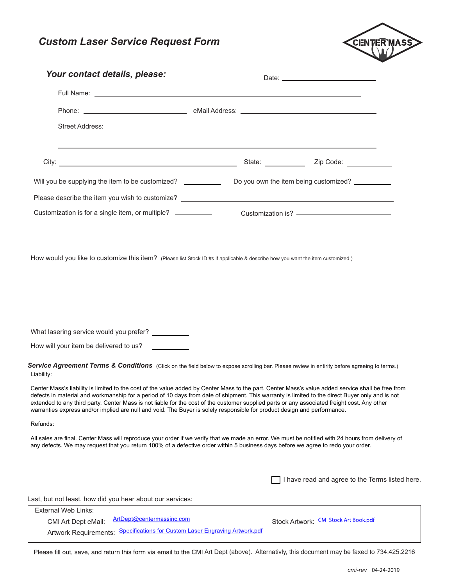



| Your contact details, please:                                                                                                                                                                                                                                                                                                                                                                                                                                                                                                                                                     |                                                       |                                                                           |                                                 |
|-----------------------------------------------------------------------------------------------------------------------------------------------------------------------------------------------------------------------------------------------------------------------------------------------------------------------------------------------------------------------------------------------------------------------------------------------------------------------------------------------------------------------------------------------------------------------------------|-------------------------------------------------------|---------------------------------------------------------------------------|-------------------------------------------------|
|                                                                                                                                                                                                                                                                                                                                                                                                                                                                                                                                                                                   |                                                       |                                                                           |                                                 |
|                                                                                                                                                                                                                                                                                                                                                                                                                                                                                                                                                                                   |                                                       |                                                                           |                                                 |
| <b>Street Address:</b>                                                                                                                                                                                                                                                                                                                                                                                                                                                                                                                                                            |                                                       |                                                                           |                                                 |
|                                                                                                                                                                                                                                                                                                                                                                                                                                                                                                                                                                                   |                                                       | State: <u>Charles Zip Code:</u> Charles Communications Charles Code: 2014 |                                                 |
| Will you be supplying the item to be customized? ___________                                                                                                                                                                                                                                                                                                                                                                                                                                                                                                                      |                                                       | Do you own the item being customized?                                     |                                                 |
|                                                                                                                                                                                                                                                                                                                                                                                                                                                                                                                                                                                   |                                                       |                                                                           |                                                 |
| Customization is for a single item, or multiple? ___________                                                                                                                                                                                                                                                                                                                                                                                                                                                                                                                      |                                                       | Customization is? ———————————————————                                     |                                                 |
|                                                                                                                                                                                                                                                                                                                                                                                                                                                                                                                                                                                   |                                                       |                                                                           |                                                 |
| How would you like to customize this item? (Please list Stock ID #s if applicable & describe how you want the item customized.)                                                                                                                                                                                                                                                                                                                                                                                                                                                   |                                                       |                                                                           |                                                 |
|                                                                                                                                                                                                                                                                                                                                                                                                                                                                                                                                                                                   |                                                       |                                                                           |                                                 |
|                                                                                                                                                                                                                                                                                                                                                                                                                                                                                                                                                                                   |                                                       |                                                                           |                                                 |
|                                                                                                                                                                                                                                                                                                                                                                                                                                                                                                                                                                                   |                                                       |                                                                           |                                                 |
|                                                                                                                                                                                                                                                                                                                                                                                                                                                                                                                                                                                   |                                                       |                                                                           |                                                 |
| What lasering service would you prefer? _________                                                                                                                                                                                                                                                                                                                                                                                                                                                                                                                                 |                                                       |                                                                           |                                                 |
| How will your item be delivered to us?                                                                                                                                                                                                                                                                                                                                                                                                                                                                                                                                            |                                                       |                                                                           |                                                 |
| Service Agreement Terms & Conditions (Click on the field below to expose scrolling bar. Please review in entirity before agreeing to terms.)<br>Liability:                                                                                                                                                                                                                                                                                                                                                                                                                        |                                                       |                                                                           |                                                 |
| Center Mass's liability is limited to the cost of the value added by Center Mass to the part. Center Mass's value added service shall be free from<br>defects in material and workmanship for a period of 10 days from date of shipment. This warranty is limited to the direct Buyer only and is not<br>extended to any third party. Center Mass is not liable for the cost of the customer supplied parts or any associated freight cost. Any other<br>warranties express and/or implied are null and void. The Buyer is solely responsible for product design and performance. |                                                       |                                                                           |                                                 |
| Refunds:                                                                                                                                                                                                                                                                                                                                                                                                                                                                                                                                                                          |                                                       |                                                                           |                                                 |
| All sales are final. Center Mass will reproduce your order if we verify that we made an error. We must be notified with 24 hours from delivery of<br>any defects. We may request that you return 100% of a defective order within 5 business days before we agree to redo your order.                                                                                                                                                                                                                                                                                             |                                                       |                                                                           |                                                 |
|                                                                                                                                                                                                                                                                                                                                                                                                                                                                                                                                                                                   |                                                       |                                                                           |                                                 |
|                                                                                                                                                                                                                                                                                                                                                                                                                                                                                                                                                                                   |                                                       |                                                                           | I have read and agree to the Terms listed here. |
| Last, but not least, how did you hear about our services:                                                                                                                                                                                                                                                                                                                                                                                                                                                                                                                         |                                                       |                                                                           |                                                 |
| <b>External Web Links:</b><br>ArtDept@centermassinc.com                                                                                                                                                                                                                                                                                                                                                                                                                                                                                                                           |                                                       | Stock Artwork: CMI Stock Art Book.pdf                                     |                                                 |
| CMI Art Dept eMail:<br><b>Artwork Requirements:</b>                                                                                                                                                                                                                                                                                                                                                                                                                                                                                                                               | Specifications for Custom Laser Engraving Artwork.pdf |                                                                           |                                                 |

Please fill out, save, and return this form via email to the CMI Art Dept (above). Alternativly, this document may be faxed to 734.425.2216